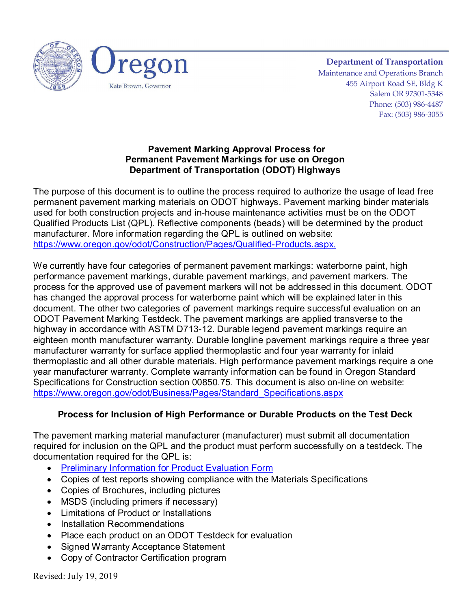

**Department of Transportation** Maintenance and Operations Branch 455 Airport Road SE, Bldg K Salem OR 97301-5348 Phone: (503) 986-4487 Fax: (503) 986-3055

#### **Pavement Marking Approval Process for Permanent Pavement Markings for use on Oregon Department of Transportation (ODOT) Highways**

The purpose of this document is to outline the process required to authorize the usage of lead free permanent pavement marking materials on ODOT highways. Pavement marking binder materials used for both construction projects and in-house maintenance activities must be on the ODOT Qualified Products List (QPL). Reflective components (beads) will be determined by the product manufacturer. More information regarding the QPL is outlined on website: <https://www.oregon.gov/odot/Construction/Pages/Qualified-Products.aspx>[.](https://www.oregon.gov/odot/Construction/Pages/Qualified-Products.aspx)

We currently have four categories of permanent pavement markings: waterborne paint, high performance pavement markings, durable pavement markings, and pavement markers. The process for the approved use of pavement markers will not be addressed in this document. ODOT has changed the approval process for waterborne paint which will be explained later in this document. The other two categories of pavement markings require successful evaluation on an ODOT Pavement Marking Testdeck. The pavement markings are applied transverse to the highway in accordance with ASTM D713-12. Durable legend pavement markings require an eighteen month manufacturer warranty. Durable longline pavement markings require a three year manufacturer warranty for surface applied thermoplastic and four year warranty for inlaid thermoplastic and all other durable materials. High performance pavement markings require a one year manufacturer warranty. Complete warranty information can be found in Oregon Standard Specifications for Construction section 00850.75. This document is also on-line on website: [https://www.oregon.gov/odot/Business/Pages/Standard\\_Specifications.aspx](https://www.oregon.gov/odot/Business/Pages/Standard_Specifications.aspx)

# **Process for Inclusion of High Performance or Durable Products on the Test Deck**

The pavement marking material manufacturer (manufacturer) must submit all documentation required for inclusion on the QPL and the product must perform successfully on a testdeck. The documentation required for the QPL is:

- [Preliminary Information for Product Evaluation Form](https://www.oregon.gov/odot/Forms/2ODOT/734-5098.pdf)
- Copies of test reports showing compliance with the Materials Specifications
- Copies of Brochures, including pictures
- MSDS (including primers if necessary)
- Limitations of Product or Installations
- Installation Recommendations
- Place each product on an ODOT Testdeck for evaluation
- Signed Warranty Acceptance Statement
- Copy of Contractor Certification program

Revised: July 19, 2019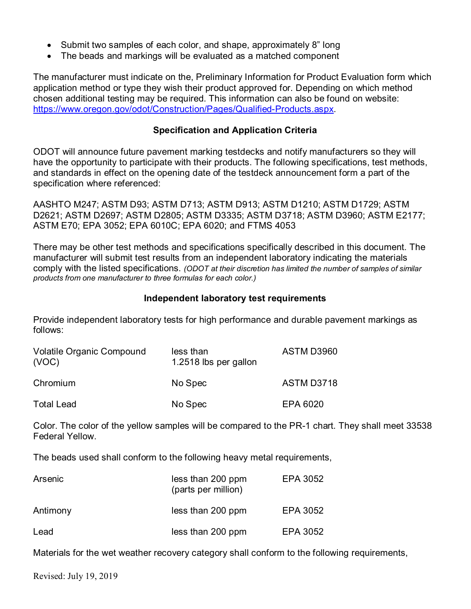- Submit two samples of each color, and shape, approximately 8" long
- The beads and markings will be evaluated as a matched component

The manufacturer must indicate on the, Preliminary Information for Product Evaluation form which application method or type they wish their product approved for. Depending on which method chosen additional testing may be required. This information can also be found on website: [https://www.oregon.gov/odot/Construction/Pages/Qualified-Products.aspx.](https://www.oregon.gov/odot/Construction/Pages/Qualified-Products.aspx)

### **Specification and Application Criteria**

ODOT will announce future pavement marking testdecks and notify manufacturers so they will have the opportunity to participate with their products. The following specifications, test methods, and standards in effect on the opening date of the testdeck announcement form a part of the specification where referenced:

AASHTO M247; ASTM D93; ASTM D713; ASTM D913; ASTM D1210; ASTM D1729; ASTM D2621; ASTM D2697; ASTM D2805; ASTM D3335; ASTM D3718; ASTM D3960; ASTM E2177; ASTM E70; EPA 3052; EPA 6010C; EPA 6020; and FTMS 4053

There may be other test methods and specifications specifically described in this document. The manufacturer will submit test results from an independent laboratory indicating the materials comply with the listed specifications. *(ODOT at their discretion has limited the number of samples of similar products from one manufacturer to three formulas for each color.)*

#### **Independent laboratory test requirements**

Provide independent laboratory tests for high performance and durable pavement markings as follows:

| <b>Volatile Organic Compound</b><br>(VOC) | less than<br>1.2518 lbs per gallon | ASTM D3960        |
|-------------------------------------------|------------------------------------|-------------------|
| Chromium                                  | No Spec                            | <b>ASTM D3718</b> |
| <b>Total Lead</b>                         | No Spec                            | EPA 6020          |

Color. The color of the yellow samples will be compared to the PR-1 chart. They shall meet 33538 Federal Yellow.

The beads used shall conform to the following heavy metal requirements,

| Arsenic  | less than 200 ppm<br>(parts per million) | EPA 3052 |
|----------|------------------------------------------|----------|
| Antimony | less than 200 ppm                        | EPA 3052 |
| Lead     | less than 200 ppm                        | EPA 3052 |

Materials for the wet weather recovery category shall conform to the following requirements,

Revised: July 19, 2019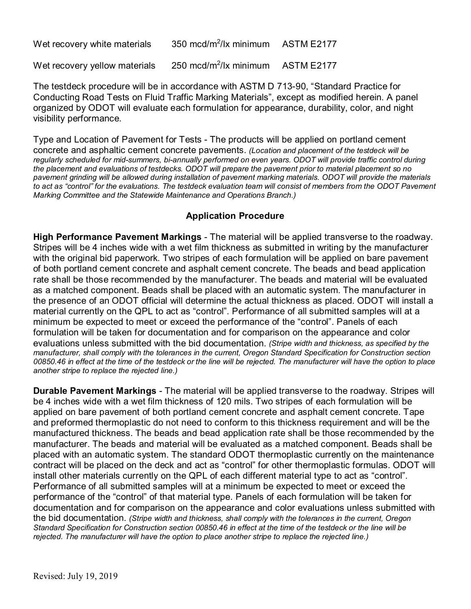| Wet recovery white materials | 350 mcd/m <sup>2</sup> /lx minimum | <b>ASTM E2177</b> |
|------------------------------|------------------------------------|-------------------|
|------------------------------|------------------------------------|-------------------|

Wet recovery yellow materials 250 mcd/m<sup>2</sup>/lx minimum ASTM E2177

The testdeck procedure will be in accordance with ASTM D 713-90, "Standard Practice for Conducting Road Tests on Fluid Traffic Marking Materials", except as modified herein. A panel organized by ODOT will evaluate each formulation for appearance, durability, color, and night visibility performance.

Type and Location of Pavement for Tests - The products will be applied on portland cement concrete and asphaltic cement concrete pavements. *(Location and placement of the testdeck will be regularly scheduled for mid-summers, bi-annually performed on even years. ODOT will provide traffic control during the placement and evaluations of testdecks. ODOT will prepare the pavement prior to material placement so no pavement grinding will be allowed during installation of pavement marking materials. ODOT will provide the materials to act as "control" for the evaluations. The testdeck evaluation team will consist of members from the ODOT Pavement Marking Committee and the Statewide Maintenance and Operations Branch.)*

#### **Application Procedure**

**High Performance Pavement Markings** - The material will be applied transverse to the roadway. Stripes will be 4 inches wide with a wet film thickness as submitted in writing by the manufacturer with the original bid paperwork. Two stripes of each formulation will be applied on bare pavement of both portland cement concrete and asphalt cement concrete. The beads and bead application rate shall be those recommended by the manufacturer. The beads and material will be evaluated as a matched component. Beads shall be placed with an automatic system. The manufacturer in the presence of an ODOT official will determine the actual thickness as placed. ODOT will install a material currently on the QPL to act as "control". Performance of all submitted samples will at a minimum be expected to meet or exceed the performance of the "control". Panels of each formulation will be taken for documentation and for comparison on the appearance and color evaluations unless submitted with the bid documentation. *(Stripe width and thickness, as specified by the manufacturer, shall comply with the tolerances in the current, Oregon Standard Specification for Construction section 00850.46 in effect at the time of the testdeck or the line will be rejected. The manufacturer will have the option to place another stripe to replace the rejected line.)*

**Durable Pavement Markings** - The material will be applied transverse to the roadway. Stripes will be 4 inches wide with a wet film thickness of 120 mils. Two stripes of each formulation will be applied on bare pavement of both portland cement concrete and asphalt cement concrete. Tape and preformed thermoplastic do not need to conform to this thickness requirement and will be the manufactured thickness. The beads and bead application rate shall be those recommended by the manufacturer. The beads and material will be evaluated as a matched component. Beads shall be placed with an automatic system. The standard ODOT thermoplastic currently on the maintenance contract will be placed on the deck and act as "control" for other thermoplastic formulas. ODOT will install other materials currently on the QPL of each different material type to act as "control". Performance of all submitted samples will at a minimum be expected to meet or exceed the performance of the "control" of that material type. Panels of each formulation will be taken for documentation and for comparison on the appearance and color evaluations unless submitted with the bid documentation. *(Stripe width and thickness, shall comply with the tolerances in the current, Oregon Standard Specification for Construction section 00850.46 in effect at the time of the testdeck or the line will be rejected. The manufacturer will have the option to place another stripe to replace the rejected line.)*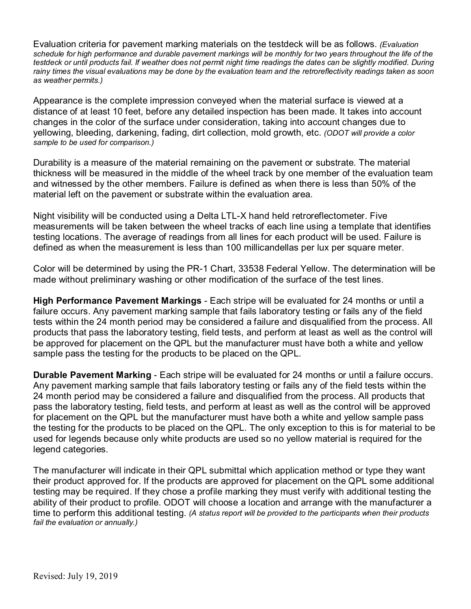Evaluation criteria for pavement marking materials on the testdeck will be as follows. *(Evaluation schedule for high performance and durable pavement markings will be monthly for two years throughout the life of the testdeck or until products fail. If weather does not permit night time readings the dates can be slightly modified. During rainy times the visual evaluations may be done by the evaluation team and the retroreflectivity readings taken as soon as weather permits.)*

Appearance is the complete impression conveyed when the material surface is viewed at a distance of at least 10 feet, before any detailed inspection has been made. It takes into account changes in the color of the surface under consideration, taking into account changes due to yellowing, bleeding, darkening, fading, dirt collection, mold growth, etc. *(ODOT will provide a color sample to be used for comparison.)*

Durability is a measure of the material remaining on the pavement or substrate. The material thickness will be measured in the middle of the wheel track by one member of the evaluation team and witnessed by the other members. Failure is defined as when there is less than 50% of the material left on the pavement or substrate within the evaluation area.

Night visibility will be conducted using a Delta LTL-X hand held retroreflectometer. Five measurements will be taken between the wheel tracks of each line using a template that identifies testing locations. The average of readings from all lines for each product will be used. Failure is defined as when the measurement is less than 100 millicandellas per lux per square meter.

Color will be determined by using the PR-1 Chart, 33538 Federal Yellow. The determination will be made without preliminary washing or other modification of the surface of the test lines.

**High Performance Pavement Markings** - Each stripe will be evaluated for 24 months or until a failure occurs. Any pavement marking sample that fails laboratory testing or fails any of the field tests within the 24 month period may be considered a failure and disqualified from the process. All products that pass the laboratory testing, field tests, and perform at least as well as the control will be approved for placement on the QPL but the manufacturer must have both a white and yellow sample pass the testing for the products to be placed on the QPL.

**Durable Pavement Marking** - Each stripe will be evaluated for 24 months or until a failure occurs. Any pavement marking sample that fails laboratory testing or fails any of the field tests within the 24 month period may be considered a failure and disqualified from the process. All products that pass the laboratory testing, field tests, and perform at least as well as the control will be approved for placement on the QPL but the manufacturer must have both a white and yellow sample pass the testing for the products to be placed on the QPL. The only exception to this is for material to be used for legends because only white products are used so no yellow material is required for the legend categories.

The manufacturer will indicate in their QPL submittal which application method or type they want their product approved for. If the products are approved for placement on the QPL some additional testing may be required. If they chose a profile marking they must verify with additional testing the ability of their product to profile. ODOT will choose a location and arrange with the manufacturer a time to perform this additional testing. *(A status report will be provided to the participants when their products fail the evaluation or annually.)*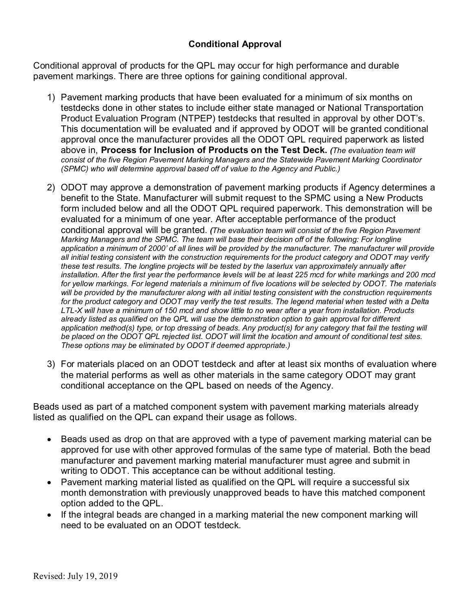## **Conditional Approval**

Conditional approval of products for the QPL may occur for high performance and durable pavement markings. There are three options for gaining conditional approval.

- 1) Pavement marking products that have been evaluated for a minimum of six months on testdecks done in other states to include either state managed or National Transportation Product Evaluation Program (NTPEP) testdecks that resulted in approval by other DOT's. This documentation will be evaluated and if approved by ODOT will be granted conditional approval once the manufacturer provides all the ODOT QPL required paperwork as listed above in, **Process for Inclusion of Products on the Test Deck.** *(The evaluation team will consist of the five Region Pavement Marking Managers and the Statewide Pavement Marking Coordinator (SPMC) who will determine approval based off of value to the Agency and Public.)*
- 2) ODOT may approve a demonstration of pavement marking products if Agency determines a benefit to the State. Manufacturer will submit request to the SPMC using a New Products form included below and all the ODOT QPL required paperwork. This demonstration will be evaluated for a minimum of one year. After acceptable performance of the product conditional approval will be granted. *(The evaluation team will consist of the five Region Pavement Marking Managers and the SPMC. The team will base their decision off of the following: For longline application a minimum of 2000' of all lines will be provided by the manufacturer. The manufacturer will provide all initial testing consistent with the construction requirements for the product category and ODOT may verify these test results. The longline projects will be tested by the laserlux van approximately annually after installation. After the first year the performance levels will be at least 225 mcd for white markings and 200 mcd for yellow markings. For legend materials a minimum of five locations will be selected by ODOT. The materials will be provided by the manufacturer along with all initial testing consistent with the construction requirements for the product category and ODOT may verify the test results. The legend material when tested with a Delta LTL-X will have a minimum of 150 mcd and show little to no wear after a year from installation. Products already listed as qualified on the QPL will use the demonstration option to gain approval for different application method(s) type, or top dressing of beads. Any product(s) for any category that fail the testing will be placed on the ODOT QPL rejected list. ODOT will limit the location and amount of conditional test sites. These options may be eliminated by ODOT if deemed appropriate.)*
- 3) For materials placed on an ODOT testdeck and after at least six months of evaluation where the material performs as well as other materials in the same category ODOT may grant conditional acceptance on the QPL based on needs of the Agency.

Beads used as part of a matched component system with pavement marking materials already listed as qualified on the QPL can expand their usage as follows.

- Beads used as drop on that are approved with a type of pavement marking material can be approved for use with other approved formulas of the same type of material. Both the bead manufacturer and pavement marking material manufacturer must agree and submit in writing to ODOT. This acceptance can be without additional testing.
- Pavement marking material listed as qualified on the QPL will require a successful six month demonstration with previously unapproved beads to have this matched component option added to the QPL.
- If the integral beads are changed in a marking material the new component marking will need to be evaluated on an ODOT testdeck.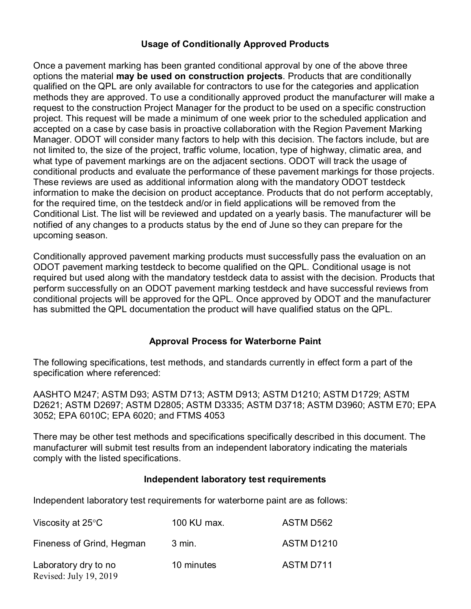## **Usage of Conditionally Approved Products**

Once a pavement marking has been granted conditional approval by one of the above three options the material **may be used on construction projects**. Products that are conditionally qualified on the QPL are only available for contractors to use for the categories and application methods they are approved. To use a conditionally approved product the manufacturer will make a request to the construction Project Manager for the product to be used on a specific construction project. This request will be made a minimum of one week prior to the scheduled application and accepted on a case by case basis in proactive collaboration with the Region Pavement Marking Manager. ODOT will consider many factors to help with this decision. The factors include, but are not limited to, the size of the project, traffic volume, location, type of highway, climatic area, and what type of pavement markings are on the adjacent sections. ODOT will track the usage of conditional products and evaluate the performance of these pavement markings for those projects. These reviews are used as additional information along with the mandatory ODOT testdeck information to make the decision on product acceptance. Products that do not perform acceptably, for the required time, on the testdeck and/or in field applications will be removed from the Conditional List. The list will be reviewed and updated on a yearly basis. The manufacturer will be notified of any changes to a products status by the end of June so they can prepare for the upcoming season.

Conditionally approved pavement marking products must successfully pass the evaluation on an ODOT pavement marking testdeck to become qualified on the QPL. Conditional usage is not required but used along with the mandatory testdeck data to assist with the decision. Products that perform successfully on an ODOT pavement marking testdeck and have successful reviews from conditional projects will be approved for the QPL. Once approved by ODOT and the manufacturer has submitted the QPL documentation the product will have qualified status on the QPL.

## **Approval Process for Waterborne Paint**

The following specifications, test methods, and standards currently in effect form a part of the specification where referenced:

AASHTO M247; ASTM D93; ASTM D713; ASTM D913; ASTM D1210; ASTM D1729; ASTM D2621; ASTM D2697; ASTM D2805; ASTM D3335; ASTM D3718; ASTM D3960; ASTM E70; EPA 3052; EPA 6010C; EPA 6020; and FTMS 4053

There may be other test methods and specifications specifically described in this document. The manufacturer will submit test results from an independent laboratory indicating the materials comply with the listed specifications.

## **Independent laboratory test requirements**

Independent laboratory test requirements for waterborne paint are as follows:

| Viscosity at 25 $\mathrm{^{\circ}C}$           | 100 KU max. | ASTM D562         |
|------------------------------------------------|-------------|-------------------|
| Fineness of Grind, Hegman                      | 3 min.      | <b>ASTM D1210</b> |
| Laboratory dry to no<br>Revised: July 19, 2019 | 10 minutes  | ASTM D711         |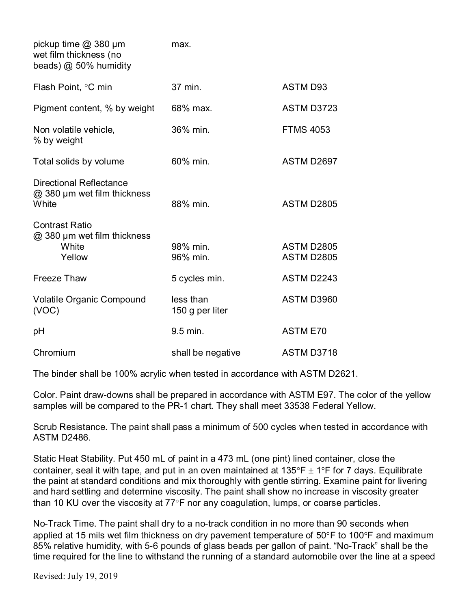| pickup time $@380 \mu m$<br>wet film thickness (no<br>beads) @ 50% humidity | max.                         |                                        |
|-----------------------------------------------------------------------------|------------------------------|----------------------------------------|
| Flash Point, °C min                                                         | 37 min.                      | <b>ASTM D93</b>                        |
| Pigment content, % by weight                                                | 68% max.                     | ASTM D3723                             |
| Non volatile vehicle,<br>% by weight                                        | 36% min.                     | <b>FTMS 4053</b>                       |
| Total solids by volume                                                      | 60% min.                     | ASTM D2697                             |
| <b>Directional Reflectance</b><br>@ 380 µm wet film thickness<br>White      | 88% min.                     | <b>ASTM D2805</b>                      |
| <b>Contrast Ratio</b><br>@ 380 µm wet film thickness<br>White<br>Yellow     | 98% min.<br>96% min.         | <b>ASTM D2805</b><br><b>ASTM D2805</b> |
| <b>Freeze Thaw</b>                                                          | 5 cycles min.                | ASTM D2243                             |
| <b>Volatile Organic Compound</b><br>(VOC)                                   | less than<br>150 g per liter | ASTM D3960                             |
| рH                                                                          | 9.5 min.                     | <b>ASTM E70</b>                        |
| Chromium                                                                    | shall be negative            | <b>ASTM D3718</b>                      |

The binder shall be 100% acrylic when tested in accordance with ASTM D2621.

Color. Paint draw-downs shall be prepared in accordance with ASTM E97. The color of the yellow samples will be compared to the PR-1 chart. They shall meet 33538 Federal Yellow.

Scrub Resistance. The paint shall pass a minimum of 500 cycles when tested in accordance with ASTM D2486.

Static Heat Stability. Put 450 mL of paint in a 473 mL (one pint) lined container, close the container, seal it with tape, and put in an oven maintained at 135°F  $\pm$  1°F for 7 davs. Equilibrate the paint at standard conditions and mix thoroughly with gentle stirring. Examine paint for livering and hard settling and determine viscosity. The paint shall show no increase in viscosity greater than 10 KU over the viscosity at 77°F nor any coagulation, lumps, or coarse particles.

No-Track Time. The paint shall dry to a no-track condition in no more than 90 seconds when applied at 15 mils wet film thickness on dry pavement temperature of 50°F to 100°F and maximum 85% relative humidity, with 5-6 pounds of glass beads per gallon of paint. "No-Track" shall be the time required for the line to withstand the running of a standard automobile over the line at a speed